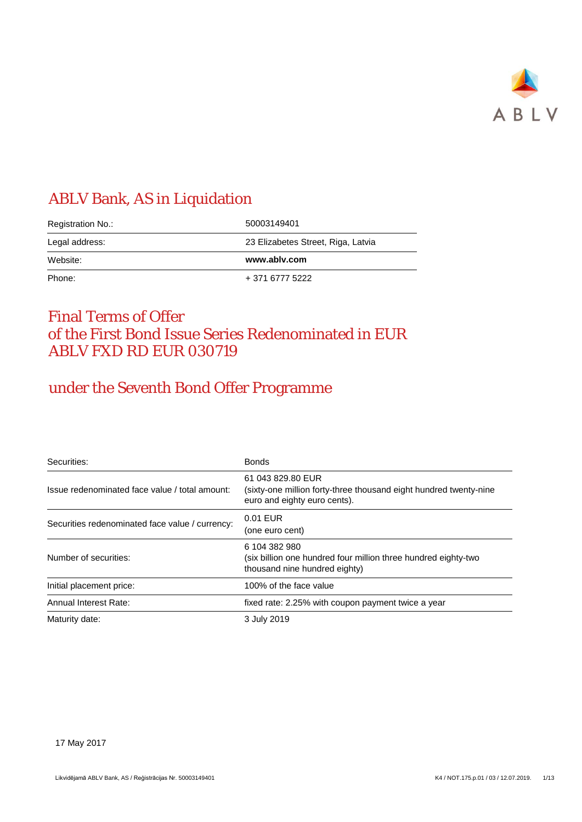

# ABLV Bank, AS in Liquidation

| Registration No.: | 50003149401                        |
|-------------------|------------------------------------|
| Legal address:    | 23 Elizabetes Street, Riga, Latvia |
|                   |                                    |
| Website:          | www.ablv.com                       |

### Final Terms of Offer of the First Bond Issue Series Redenominated in EUR ABLV FXD RD EUR 030719

# under the Seventh Bond Offer Programme

| Securities:                                     | <b>Bonds</b>                                                                                                           |
|-------------------------------------------------|------------------------------------------------------------------------------------------------------------------------|
| Issue redenominated face value / total amount:  | 61 043 829.80 EUR<br>(sixty-one million forty-three thousand eight hundred twenty-nine<br>euro and eighty euro cents). |
| Securities redenominated face value / currency: | 0.01 EUR<br>(one euro cent)                                                                                            |
| Number of securities:                           | 6 104 382 980<br>(six billion one hundred four million three hundred eighty-two<br>thousand nine hundred eighty)       |
| Initial placement price:                        | 100% of the face value                                                                                                 |
| Annual Interest Rate:                           | fixed rate: 2.25% with coupon payment twice a year                                                                     |
| Maturity date:                                  | 3 July 2019                                                                                                            |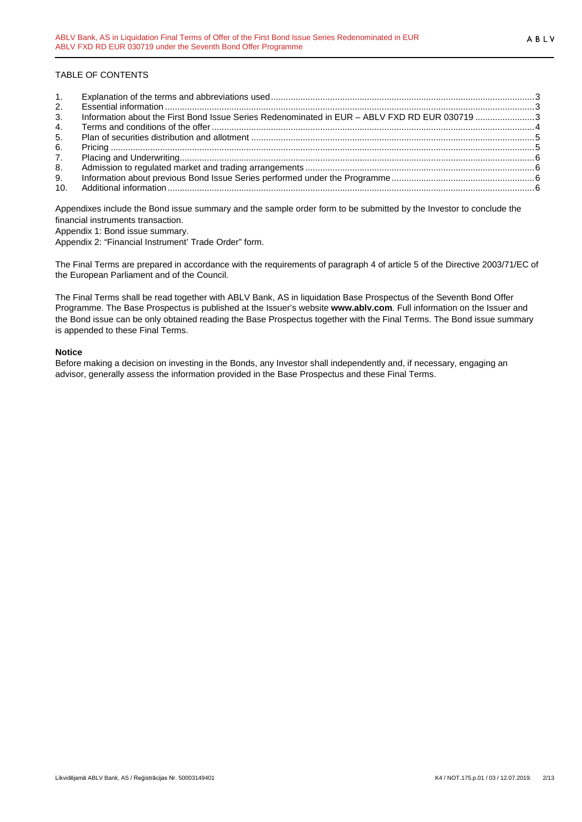#### TABLE OF CONTENTS

| 1.             |                                                                                               |  |
|----------------|-----------------------------------------------------------------------------------------------|--|
| 2.             |                                                                                               |  |
| 3 <sub>1</sub> | Information about the First Bond Issue Series Redenominated in EUR - ABLV FXD RD EUR 030719 3 |  |
| 4.             |                                                                                               |  |
| 5.             |                                                                                               |  |
| 6.             |                                                                                               |  |
| 7.             |                                                                                               |  |
| 8.             |                                                                                               |  |
| 9.             |                                                                                               |  |
| 10.            |                                                                                               |  |

Appendixes include the Bond issue summary and the sample order form to be submitted by the Investor to conclude the financial instruments transaction.

Appendix 1: Bond issue summary.

Appendix 2: "Financial Instrument' Trade Order" form.

The Final Terms are prepared in accordance with the requirements of paragraph 4 of article 5 of the Directive 2003/71/EC of the European Parliament and of the Council.

The Final Terms shall be read together with ABLV Bank, AS in liquidation Base Prospectus of the Seventh Bond Offer Programme. The Base Prospectus is published at the Issuer's website **www.ablv.com**. Full information on the Issuer and the Bond issue can be only obtained reading the Base Prospectus together with the Final Terms. The Bond issue summary is appended to these Final Terms.

#### **Notice**

Before making a decision on investing in the Bonds, any Investor shall independently and, if necessary, engaging an advisor, generally assess the information provided in the Base Prospectus and these Final Terms.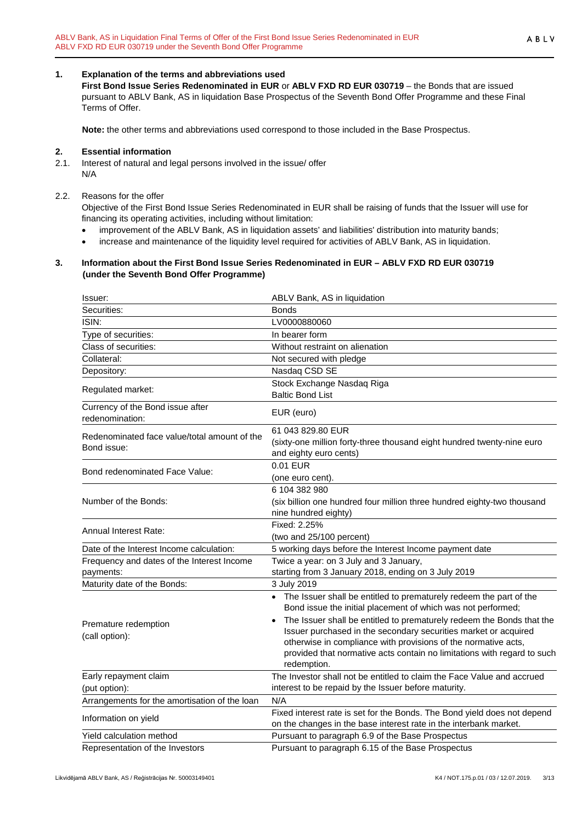#### <span id="page-2-0"></span>**1. Explanation of the terms and abbreviations used**

**First Bond Issue Series Redenominated in EUR** or **ABLV FXD RD EUR 030719** – the Bonds that are issued pursuant to ABLV Bank, AS in liquidation Base Prospectus of the Seventh Bond Offer Programme and these Final Terms of Offer.

**Note:** the other terms and abbreviations used correspond to those included in the Base Prospectus.

#### <span id="page-2-1"></span>**2. Essential information**

2.1. Interest of natural and legal persons involved in the issue/ offer N/A

#### 2.2. Reasons for the offer

Objective of the First Bond Issue Series Redenominated in EUR shall be raising of funds that the Issuer will use for financing its operating activities, including without limitation:

- improvement of the ABLV Bank, AS in liquidation assets' and liabilities' distribution into maturity bands;
- increase and maintenance of the liquidity level required for activities of ABLV Bank, AS in liquidation.

#### <span id="page-2-2"></span>**3. Information about the First Bond Issue Series Redenominated in EUR – ABLV FXD RD EUR 030719 (under the Seventh Bond Offer Programme)**

| Issuer:                                             | ABLV Bank, AS in liquidation                                                                                                                             |
|-----------------------------------------------------|----------------------------------------------------------------------------------------------------------------------------------------------------------|
| Securities:                                         | <b>Bonds</b>                                                                                                                                             |
| ISIN:                                               | LV0000880060                                                                                                                                             |
| Type of securities:                                 | In bearer form                                                                                                                                           |
| Class of securities:                                | Without restraint on alienation                                                                                                                          |
| Collateral:                                         | Not secured with pledge                                                                                                                                  |
| Depository:                                         | Nasdaq CSD SE                                                                                                                                            |
|                                                     | Stock Exchange Nasdaq Riga                                                                                                                               |
| Regulated market:                                   | <b>Baltic Bond List</b>                                                                                                                                  |
| Currency of the Bond issue after<br>redenomination: | EUR (euro)                                                                                                                                               |
| Redenominated face value/total amount of the        | 61 043 829.80 EUR                                                                                                                                        |
| Bond issue:                                         | (sixty-one million forty-three thousand eight hundred twenty-nine euro                                                                                   |
|                                                     | and eighty euro cents)                                                                                                                                   |
| Bond redenominated Face Value:                      | 0.01 EUR                                                                                                                                                 |
|                                                     | (one euro cent).                                                                                                                                         |
|                                                     | 6 104 382 980                                                                                                                                            |
| Number of the Bonds:                                | (six billion one hundred four million three hundred eighty-two thousand                                                                                  |
|                                                     | nine hundred eighty)                                                                                                                                     |
| Annual Interest Rate:                               | Fixed: 2.25%                                                                                                                                             |
|                                                     | (two and 25/100 percent)                                                                                                                                 |
| Date of the Interest Income calculation:            | 5 working days before the Interest Income payment date                                                                                                   |
| Frequency and dates of the Interest Income          | Twice a year: on 3 July and 3 January,                                                                                                                   |
| payments:                                           | starting from 3 January 2018, ending on 3 July 2019                                                                                                      |
| Maturity date of the Bonds:                         | 3 July 2019                                                                                                                                              |
|                                                     | • The Issuer shall be entitled to prematurely redeem the part of the<br>Bond issue the initial placement of which was not performed;                     |
| Premature redemption                                | The Issuer shall be entitled to prematurely redeem the Bonds that the                                                                                    |
| (call option):                                      | Issuer purchased in the secondary securities market or acquired                                                                                          |
|                                                     | otherwise in compliance with provisions of the normative acts,<br>provided that normative acts contain no limitations with regard to such<br>redemption. |
| Early repayment claim                               | The Investor shall not be entitled to claim the Face Value and accrued                                                                                   |
| (put option):                                       | interest to be repaid by the Issuer before maturity.                                                                                                     |
| Arrangements for the amortisation of the loan       | N/A                                                                                                                                                      |
| Information on yield                                | Fixed interest rate is set for the Bonds. The Bond yield does not depend<br>on the changes in the base interest rate in the interbank market.            |
| Yield calculation method                            | Pursuant to paragraph 6.9 of the Base Prospectus                                                                                                         |
| Representation of the Investors                     | Pursuant to paragraph 6.15 of the Base Prospectus                                                                                                        |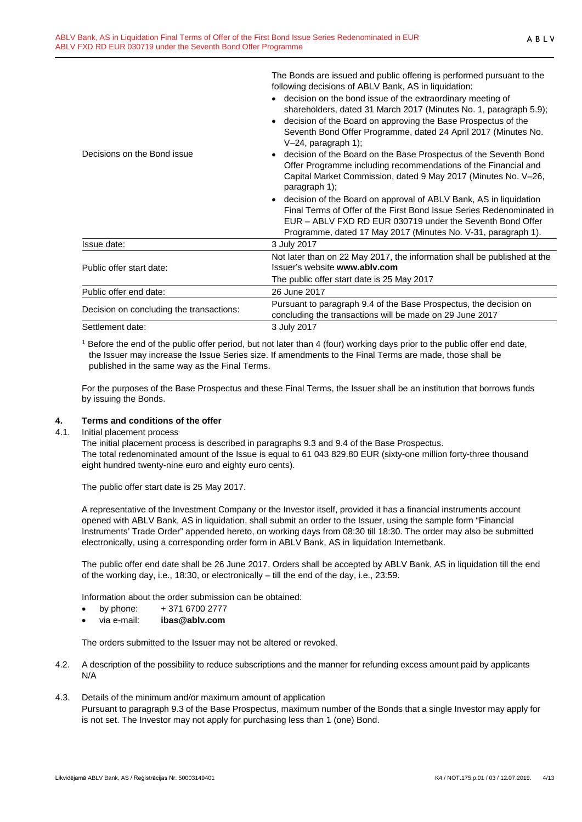|                                          | following decisions of ABLV Bank, AS in liquidation:<br>decision on the bond issue of the extraordinary meeting of<br>shareholders, dated 31 March 2017 (Minutes No. 1, paragraph 5.9);                                                                                 |
|------------------------------------------|-------------------------------------------------------------------------------------------------------------------------------------------------------------------------------------------------------------------------------------------------------------------------|
|                                          | decision of the Board on approving the Base Prospectus of the<br>Seventh Bond Offer Programme, dated 24 April 2017 (Minutes No.<br>$V-24$ , paragraph 1);                                                                                                               |
| Decisions on the Bond issue              | decision of the Board on the Base Prospectus of the Seventh Bond<br>Offer Programme including recommendations of the Financial and<br>Capital Market Commission, dated 9 May 2017 (Minutes No. V-26,<br>paragraph 1);                                                   |
|                                          | decision of the Board on approval of ABLV Bank, AS in liquidation<br>Final Terms of Offer of the First Bond Issue Series Redenominated in<br>EUR - ABLV FXD RD EUR 030719 under the Seventh Bond Offer<br>Programme, dated 17 May 2017 (Minutes No. V-31, paragraph 1). |
| Issue date:                              | 3 July 2017                                                                                                                                                                                                                                                             |
| Public offer start date:                 | Not later than on 22 May 2017, the information shall be published at the<br>Issuer's website www.ably.com<br>The public offer start date is 25 May 2017                                                                                                                 |
| Public offer end date:                   | 26 June 2017                                                                                                                                                                                                                                                            |
| Decision on concluding the transactions: | Pursuant to paragraph 9.4 of the Base Prospectus, the decision on<br>concluding the transactions will be made on 29 June 2017                                                                                                                                           |
| Settlement date:                         | 3 July 2017                                                                                                                                                                                                                                                             |

The Bonds are issued and public offering is performed pursuant to the

<sup>1</sup> Before the end of the public offer period, but not later than 4 (four) working days prior to the public offer end date, the Issuer may increase the Issue Series size. If amendments to the Final Terms are made, those shall be published in the same way as the Final Terms.

For the purposes of the Base Prospectus and these Final Terms, the Issuer shall be an institution that borrows funds by issuing the Bonds.

# <span id="page-3-0"></span>**4. Terms and conditions of the offer**

4.1. Initial placement process

The initial placement process is described in paragraphs 9.3 and 9.4 of the Base Prospectus. The total redenominated amount of the Issue is equal to 61 043 829.80 EUR (sixty-one million forty-three thousand eight hundred twenty-nine euro and eighty euro cents).

The public offer start date is 25 May 2017.

A representative of the Investment Company or the Investor itself, provided it has a financial instruments account opened with ABLV Bank, AS in liquidation, shall submit an order to the Issuer, using the sample form "Financial Instruments' Trade Order" appended hereto, on working days from 08:30 till 18:30. The order may also be submitted electronically, using a corresponding order form in ABLV Bank, AS in liquidation Internetbank.

The public offer end date shall be 26 June 2017. Orders shall be accepted by ABLV Bank, AS in liquidation till the end of the working day, i.e., 18:30, or electronically – till the end of the day, i.e., 23:59.

Information about the order submission can be obtained:

- by phone:  $+371\,6700\,2777$
- via e-mail: **ibas@ablv.com**

The orders submitted to the Issuer may not be altered or revoked.

- 4.2. A description of the possibility to reduce subscriptions and the manner for refunding excess amount paid by applicants N/A
- 4.3. Details of the minimum and/or maximum amount of application Pursuant to paragraph 9.3 of the Base Prospectus, maximum number of the Bonds that a single Investor may apply for is not set. The Investor may not apply for purchasing less than 1 (one) Bond.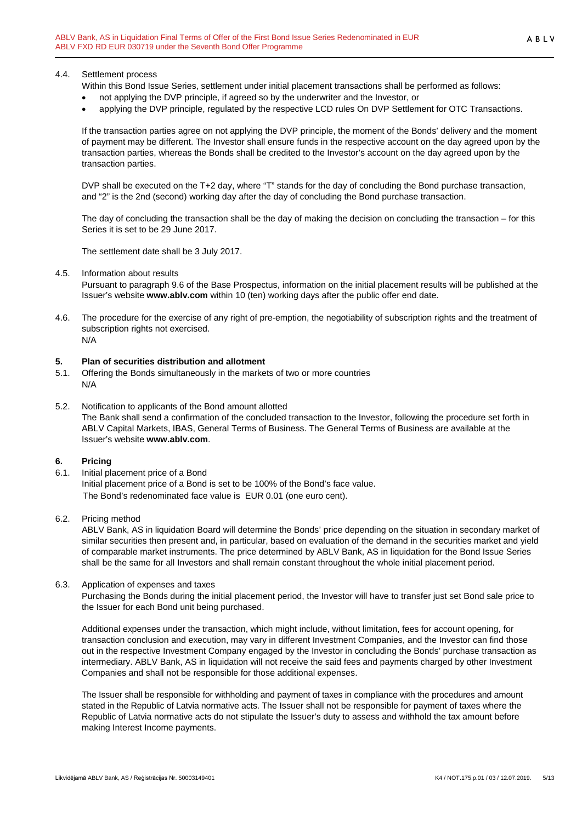### 4.4. Settlement process

Within this Bond Issue Series, settlement under initial placement transactions shall be performed as follows:

- not applying the DVP principle, if agreed so by the underwriter and the Investor, or
- applying the DVP principle, regulated by the respective LCD rules On DVP Settlement for OTC Transactions.

If the transaction parties agree on not applying the DVP principle, the moment of the Bonds' delivery and the moment of payment may be different. The Investor shall ensure funds in the respective account on the day agreed upon by the transaction parties, whereas the Bonds shall be credited to the Investor's account on the day agreed upon by the transaction parties.

DVP shall be executed on the T+2 day, where "T" stands for the day of concluding the Bond purchase transaction, and "2" is the 2nd (second) working day after the day of concluding the Bond purchase transaction.

The day of concluding the transaction shall be the day of making the decision on concluding the transaction – for this Series it is set to be 29 June 2017.

The settlement date shall be 3 July 2017.

#### 4.5. Information about results

Pursuant to paragraph 9.6 of the Base Prospectus, information on the initial placement results will be published at the Issuer's website **www.ablv.com** within 10 (ten) working days after the public offer end date.

4.6. The procedure for the exercise of any right of pre-emption, the negotiability of subscription rights and the treatment of subscription rights not exercised. N/A

#### <span id="page-4-0"></span>**5. Plan of securities distribution and allotment**

- 5.1. Offering the Bonds simultaneously in the markets of two or more countries N/A
- 5.2. Notification to applicants of the Bond amount allotted The Bank shall send a confirmation of the concluded transaction to the Investor, following the procedure set forth in ABLV Capital Markets, IBAS, General Terms of Business. The General Terms of Business are available at the Issuer's website **[www.ablv.com](http://www.ablv.com/)**.

#### <span id="page-4-1"></span>**6. Pricing**

- 6.1. Initial placement price of a Bond Initial placement price of a Bond is set to be 100% of the Bond's face value. The Bond's redenominated face value is EUR 0.01 (one euro cent).
- 6.2. Pricing method

ABLV Bank, AS in liquidation Board will determine the Bonds' price depending on the situation in secondary market of similar securities then present and, in particular, based on evaluation of the demand in the securities market and yield of comparable market instruments. The price determined by ABLV Bank, AS in liquidation for the Bond Issue Series shall be the same for all Investors and shall remain constant throughout the whole initial placement period.

6.3. Application of expenses and taxes

Purchasing the Bonds during the initial placement period, the Investor will have to transfer just set Bond sale price to the Issuer for each Bond unit being purchased.

Additional expenses under the transaction, which might include, without limitation, fees for account opening, for transaction conclusion and execution, may vary in different Investment Companies, and the Investor can find those out in the respective Investment Company engaged by the Investor in concluding the Bonds' purchase transaction as intermediary. ABLV Bank, AS in liquidation will not receive the said fees and payments charged by other Investment Companies and shall not be responsible for those additional expenses.

The Issuer shall be responsible for withholding and payment of taxes in compliance with the procedures and amount stated in the Republic of Latvia normative acts. The Issuer shall not be responsible for payment of taxes where the Republic of Latvia normative acts do not stipulate the Issuer's duty to assess and withhold the tax amount before making Interest Income payments.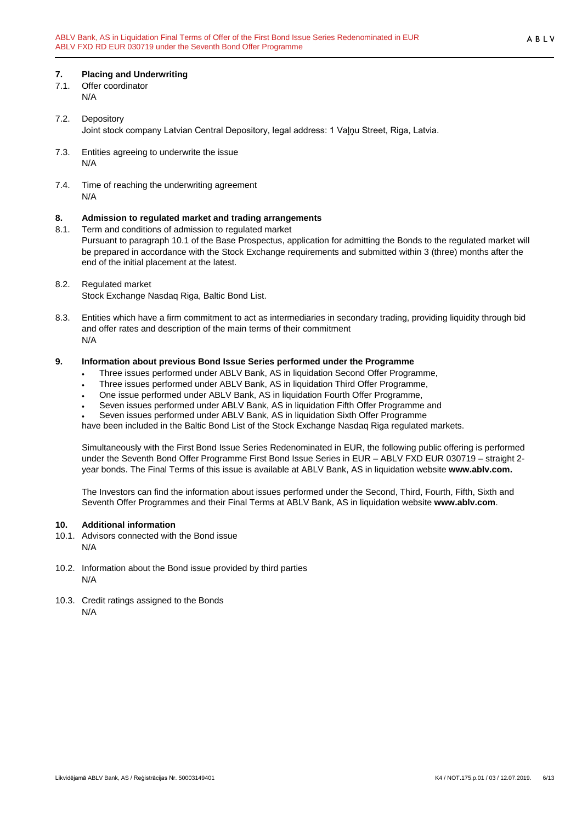#### <span id="page-5-0"></span>**7. Placing and Underwriting**

- 7.1. Offer coordinator N/A
- 7.2. Depository Joint stock company Latvian Central Depository, legal address: 1 Vaļņu Street, Riga, Latvia.
- 7.3. Entities agreeing to underwrite the issue N/A
- 7.4. Time of reaching the underwriting agreement N/A

# <span id="page-5-1"></span>**8. Admission to regulated market and trading arrangements**

- Term and conditions of admission to regulated market Pursuant to paragraph 10.1 of the Base Prospectus, application for admitting the Bonds to the regulated market will be prepared in accordance with the Stock Exchange requirements and submitted within 3 (three) months after the end of the initial placement at the latest.
- 8.2. Regulated market Stock Exchange Nasdaq Riga, Baltic Bond List.
- 8.3. Entities which have a firm commitment to act as intermediaries in secondary trading, providing liquidity through bid and offer rates and description of the main terms of their commitment N/A

#### <span id="page-5-2"></span>**9. Information about previous Bond Issue Series performed under the Programme**

- Three issues performed under ABLV Bank, AS in liquidation Second Offer Programme,
- Three issues performed under ABLV Bank, AS in liquidation Third Offer Programme,
- One issue performed under ABLV Bank, AS in liquidation Fourth Offer Programme,
- Seven issues performed under ABLV Bank, AS in liquidation Fifth Offer Programme and
- Seven issues performed under ABLV Bank, AS in liquidation Sixth Offer Programme

have been included in the Baltic Bond List of the Stock Exchange Nasdaq Riga regulated markets.

Simultaneously with the First Bond Issue Series Redenominated in EUR, the following public offering is performed under the Seventh Bond Offer Programme First Bond Issue Series in EUR – ABLV FXD EUR 030719 – straight 2 year bonds. The Final Terms of this issue is available at ABLV Bank, AS in liquidation website **www.ablv.com.**

The Investors can find the information about issues performed under the Second, Third, Fourth, Fifth, Sixth and Seventh Offer Programmes and their Final Terms at ABLV Bank, AS in liquidation website **[www.ablv.com](http://www.ablv.com/)**.

#### <span id="page-5-3"></span>**10. Additional information**

- 10.1. Advisors connected with the Bond issue N/A
- 10.2. Information about the Bond issue provided by third parties N/A
- 10.3. Credit ratings assigned to the Bonds N/A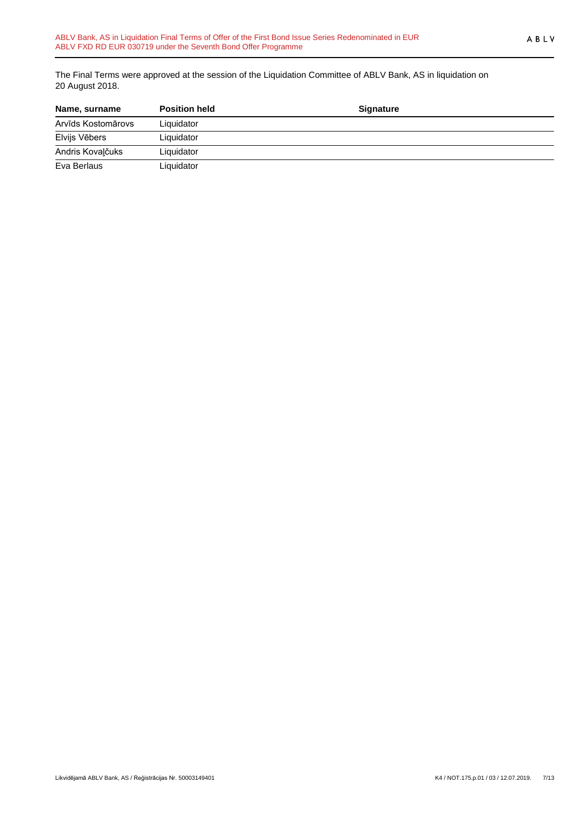The Final Terms were approved at the session of the Liquidation Committee of ABLV Bank, AS in liquidation on 20 August 2018.

| Name, surname      | <b>Position held</b> | <b>Signature</b> |  |
|--------------------|----------------------|------------------|--|
| Arvīds Kostomārovs | Liquidator           |                  |  |
| Elvijs Vēbers      | Liquidator           |                  |  |
| Andris Kovaļčuks   | Liquidator           |                  |  |
| Eva Berlaus        | Liquidator           |                  |  |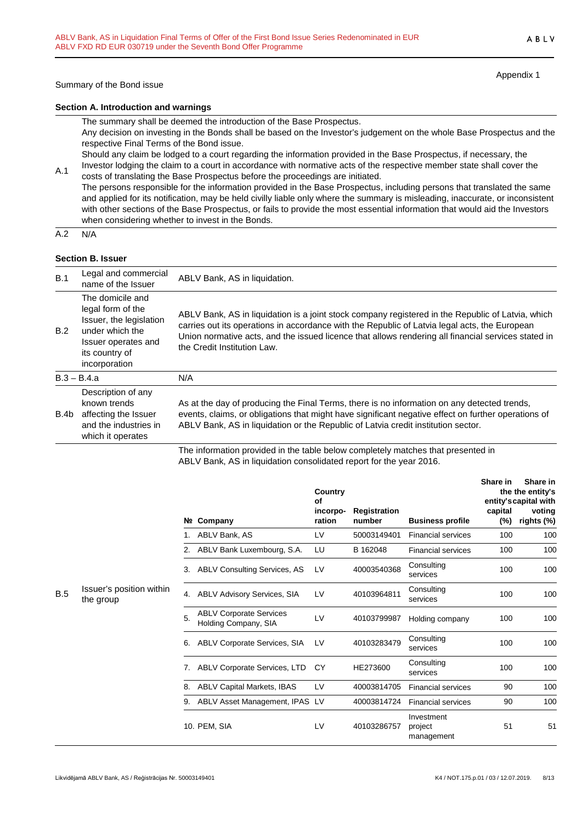Appendix 1

ABLV

#### **Section A. Introduction and warnings**

The summary shall be deemed the introduction of the Base Prospectus.

Any decision on investing in the Bonds shall be based on the Investor's judgement on the whole Base Prospectus and the respective Final Terms of the Bond issue.

Should any claim be lodged to a court regarding the information provided in the Base Prospectus, if necessary, the Investor lodging the claim to a court in accordance with normative acts of the respective member state shall cover the

A.1 costs of translating the Base Prospectus before the proceedings are initiated. The persons responsible for the information provided in the Base Prospectus, including persons that translated the same and applied for its notification, may be held civilly liable only where the summary is misleading, inaccurate, or inconsistent with other sections of the Base Prospectus, or fails to provide the most essential information that would aid the Investors when considering whether to invest in the Bonds.

 $A.2 N/A$ 

#### **Section B. Issuer**

| B.1  | Legal and commercial<br>name of the Issuer                                                                                                    | ABLV Bank, AS in liquidation.                                                                                                                                                                                                                                                                                                            |  |
|------|-----------------------------------------------------------------------------------------------------------------------------------------------|------------------------------------------------------------------------------------------------------------------------------------------------------------------------------------------------------------------------------------------------------------------------------------------------------------------------------------------|--|
| B.2  | The domicile and<br>legal form of the<br>Issuer, the legislation<br>under which the<br>Issuer operates and<br>its country of<br>incorporation | ABLV Bank, AS in liquidation is a joint stock company registered in the Republic of Latvia, which<br>carries out its operations in accordance with the Republic of Latvia legal acts, the European<br>Union normative acts, and the issued licence that allows rendering all financial services stated in<br>the Credit Institution Law. |  |
|      | $B.3 - B.4.a$                                                                                                                                 | N/A                                                                                                                                                                                                                                                                                                                                      |  |
| B.4b | Description of any<br>known trends<br>affecting the Issuer<br>and the industries in<br>which it operates                                      | As at the day of producing the Final Terms, there is no information on any detected trends,<br>events, claims, or obligations that might have significant negative effect on further operations of<br>ABLV Bank, AS in liquidation or the Republic of Latvia credit institution sector.                                                  |  |
|      |                                                                                                                                               | The information provided in the table below completely matches that presented in                                                                                                                                                                                                                                                         |  |

The information provided in the table below completely matches that presented in ABLV Bank, AS in liquidation consolidated report for the year 2016.

|     |                                       |    | Nº Company                                             | Country<br>Οf<br>incorpo-<br>ration | Registration<br>number | <b>Business profile</b>             | Share in<br>capital<br>(%) | Share in<br>the the entity's<br>entity's capital with<br>voting<br>rights (%) |
|-----|---------------------------------------|----|--------------------------------------------------------|-------------------------------------|------------------------|-------------------------------------|----------------------------|-------------------------------------------------------------------------------|
|     |                                       |    | ABLV Bank, AS                                          | LV                                  | 50003149401            | <b>Financial services</b>           | 100                        | 100                                                                           |
|     |                                       | 2. | ABLV Bank Luxembourg, S.A.                             | LU                                  | B 162048               | <b>Financial services</b>           | 100                        | 100                                                                           |
|     |                                       | 3. | <b>ABLV Consulting Services, AS</b>                    | LV                                  | 40003540368            | Consulting<br>services              | 100                        | 100                                                                           |
| B.5 | Issuer's position within<br>the group | 4. | <b>ABLV Advisory Services, SIA</b>                     | LV                                  | 40103964811            | Consulting<br>services              | 100                        | 100                                                                           |
|     |                                       | 5. | <b>ABLV Corporate Services</b><br>Holding Company, SIA | LV                                  | 40103799987            | Holding company                     | 100                        | 100                                                                           |
|     |                                       | 6. | ABLV Corporate Services, SIA                           | LV                                  | 40103283479            | Consulting<br>services              | 100                        | 100                                                                           |
|     |                                       | 7. | <b>ABLV Corporate Services, LTD</b>                    | CY                                  | HE273600               | Consulting<br>services              | 100                        | 100                                                                           |
|     |                                       | 8. | <b>ABLV Capital Markets, IBAS</b>                      | LV                                  | 40003814705            | <b>Financial services</b>           | 90                         | 100                                                                           |
|     |                                       | 9. | ABLV Asset Management, IPAS                            | LV                                  | 40003814724            | <b>Financial services</b>           | 90                         | 100                                                                           |
|     |                                       |    | 10. PEM, SIA                                           | LV                                  | 40103286757            | Investment<br>project<br>management | 51                         | 51                                                                            |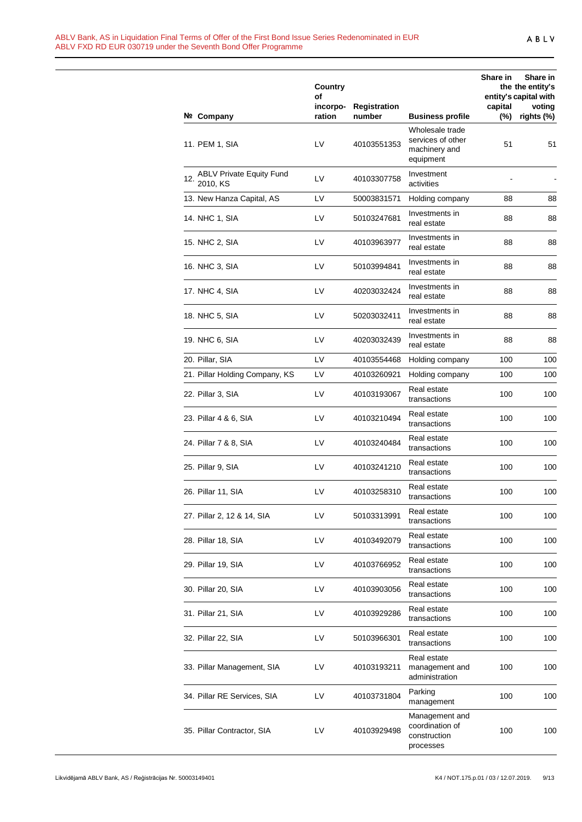|     |                                             | Country<br>οf      |                        |                                                                    | Share in       | Share in<br>the the entity's<br>entity's capital with |
|-----|---------------------------------------------|--------------------|------------------------|--------------------------------------------------------------------|----------------|-------------------------------------------------------|
|     | Nº Company                                  | incorpo-<br>ration | Registration<br>number | <b>Business profile</b>                                            | capital<br>(%) | voting<br>rights (%)                                  |
|     | 11. PEM 1, SIA                              | LV                 | 40103551353            | Wholesale trade<br>services of other<br>machinery and<br>equipment | 51             | 51                                                    |
| 12. | <b>ABLV Private Equity Fund</b><br>2010, KS | LV                 | 40103307758            | Investment<br>activities                                           |                |                                                       |
|     | 13. New Hanza Capital, AS                   | LV                 | 50003831571            | Holding company                                                    | 88             | 88                                                    |
|     | 14. NHC 1, SIA                              | LV                 | 50103247681            | Investments in<br>real estate                                      | 88             | 88                                                    |
|     | 15. NHC 2, SIA                              | LV                 | 40103963977            | Investments in<br>real estate                                      | 88             | 88                                                    |
|     | 16. NHC 3, SIA                              | LV                 | 50103994841            | Investments in<br>real estate                                      | 88             | 88                                                    |
|     | 17. NHC 4, SIA                              | LV                 | 40203032424            | Investments in<br>real estate                                      | 88             | 88                                                    |
|     | 18. NHC 5, SIA                              | LV                 | 50203032411            | Investments in<br>real estate                                      | 88             | 88                                                    |
|     | 19. NHC 6, SIA                              | LV                 | 40203032439            | Investments in<br>real estate                                      | 88             | 88                                                    |
|     | 20. Pillar, SIA                             | LV                 | 40103554468            | Holding company                                                    | 100            | 100                                                   |
|     | 21. Pillar Holding Company, KS              | LV                 | 40103260921            | Holding company                                                    | 100            | 100                                                   |
|     | 22. Pillar 3, SIA                           | LV                 | 40103193067            | Real estate<br>transactions                                        | 100            | 100                                                   |
|     | 23. Pillar 4 & 6, SIA                       | LV                 | 40103210494            | Real estate<br>transactions                                        | 100            | 100                                                   |
|     | 24. Pillar 7 & 8, SIA                       | LV                 | 40103240484            | Real estate<br>transactions                                        | 100            | 100                                                   |
|     | 25. Pillar 9, SIA                           | LV                 | 40103241210            | Real estate<br>transactions                                        | 100            | 100                                                   |
|     | 26. Pillar 11, SIA                          | LV                 | 40103258310            | Real estate<br>transactions                                        | 100            | 100                                                   |
|     | 27. Pillar 2, 12 & 14, SIA                  | LV                 | 50103313991            | Real estate<br>transactions                                        | 100            | 100                                                   |
|     | 28. Pillar 18, SIA                          | LV                 | 40103492079            | Real estate<br>transactions                                        | 100            | 100                                                   |
|     | 29. Pillar 19, SIA                          | LV                 | 40103766952            | Real estate<br>transactions                                        | 100            | 100                                                   |
|     | 30. Pillar 20, SIA                          | LV                 | 40103903056            | Real estate<br>transactions                                        | 100            | 100                                                   |
|     | 31. Pillar 21, SIA                          | LV                 | 40103929286            | Real estate<br>transactions                                        | 100            | 100                                                   |
|     | 32. Pillar 22, SIA                          | LV                 | 50103966301            | Real estate<br>transactions                                        | 100            | 100                                                   |
|     | 33. Pillar Management, SIA                  | LV                 | 40103193211            | Real estate<br>management and<br>administration                    | 100            | 100                                                   |
|     | 34. Pillar RE Services, SIA                 | LV                 | 40103731804            | Parking<br>management                                              | 100            | 100                                                   |
|     | 35. Pillar Contractor, SIA                  | LV                 | 40103929498            | Management and<br>coordination of<br>construction<br>processes     | 100            | 100                                                   |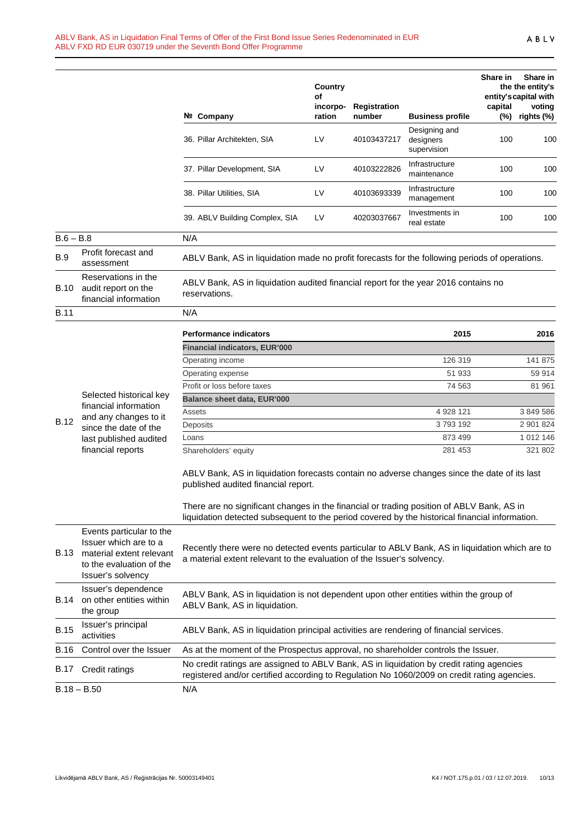|             |                                                                                                                                | Nº Company                                                                                                                                                                                  | Country<br>οf<br>incorpo-<br>ration | Registration<br>number | <b>Business profile</b>                   | Share in<br>capital<br>$(\%)$ | Share in<br>the the entity's<br>entity's capital with<br>voting<br>rights (%) |
|-------------|--------------------------------------------------------------------------------------------------------------------------------|---------------------------------------------------------------------------------------------------------------------------------------------------------------------------------------------|-------------------------------------|------------------------|-------------------------------------------|-------------------------------|-------------------------------------------------------------------------------|
|             |                                                                                                                                | 36. Pillar Architekten, SIA                                                                                                                                                                 | LV                                  | 40103437217            | Designing and<br>designers<br>supervision | 100                           | 100                                                                           |
|             |                                                                                                                                | 37. Pillar Development, SIA                                                                                                                                                                 | LV                                  | 40103222826            | Infrastructure<br>maintenance             | 100                           | 100                                                                           |
|             |                                                                                                                                | 38. Pillar Utilities, SIA                                                                                                                                                                   | LV                                  | 40103693339            | Infrastructure<br>management              | 100                           | 100                                                                           |
|             |                                                                                                                                | 39. ABLV Building Complex, SIA                                                                                                                                                              | LV                                  | 40203037667            | Investments in<br>real estate             | 100                           | 100                                                                           |
| $B.6 - B.8$ |                                                                                                                                | N/A                                                                                                                                                                                         |                                     |                        |                                           |                               |                                                                               |
| <b>B.9</b>  | Profit forecast and<br>assessment                                                                                              | ABLV Bank, AS in liquidation made no profit forecasts for the following periods of operations.                                                                                              |                                     |                        |                                           |                               |                                                                               |
| B.10        | Reservations in the<br>audit report on the<br>financial information                                                            | ABLV Bank, AS in liquidation audited financial report for the year 2016 contains no<br>reservations.                                                                                        |                                     |                        |                                           |                               |                                                                               |
| <b>B.11</b> |                                                                                                                                | N/A                                                                                                                                                                                         |                                     |                        |                                           |                               |                                                                               |
|             |                                                                                                                                | <b>Performance indicators</b>                                                                                                                                                               |                                     |                        | 2015                                      |                               | 2016                                                                          |
|             |                                                                                                                                | <b>Financial indicators, EUR'000</b>                                                                                                                                                        |                                     |                        |                                           |                               |                                                                               |
|             |                                                                                                                                | Operating income                                                                                                                                                                            |                                     |                        | 126 319                                   |                               | 141 875                                                                       |
|             |                                                                                                                                | Operating expense                                                                                                                                                                           |                                     |                        | 51 933                                    |                               | 59 914                                                                        |
|             |                                                                                                                                | Profit or loss before taxes                                                                                                                                                                 |                                     |                        | 74 563                                    |                               | 81 961                                                                        |
|             | Selected historical key                                                                                                        | Balance sheet data, EUR'000                                                                                                                                                                 |                                     |                        |                                           |                               |                                                                               |
|             | financial information<br>and any changes to it                                                                                 | Assets                                                                                                                                                                                      |                                     |                        | 4 928 121                                 |                               | 3 849 586                                                                     |
| <b>B.12</b> | since the date of the                                                                                                          | Deposits                                                                                                                                                                                    |                                     |                        | 3793192                                   |                               | 2 901 824                                                                     |
|             | last published audited                                                                                                         | Loans                                                                                                                                                                                       |                                     |                        | 873 499                                   |                               | 1 012 146                                                                     |
|             | financial reports                                                                                                              | Shareholders' equity                                                                                                                                                                        |                                     |                        | 281 453                                   |                               | 321 802                                                                       |
|             |                                                                                                                                | ABLV Bank, AS in liquidation forecasts contain no adverse changes since the date of its last<br>published audited financial report.                                                         |                                     |                        |                                           |                               |                                                                               |
|             |                                                                                                                                | There are no significant changes in the financial or trading position of ABLV Bank, AS in<br>liquidation detected subsequent to the period covered by the historical financial information. |                                     |                        |                                           |                               |                                                                               |
| B.13        | Events particular to the<br>Issuer which are to a<br>material extent relevant<br>to the evaluation of the<br>Issuer's solvency | Recently there were no detected events particular to ABLV Bank, AS in liquidation which are to<br>a material extent relevant to the evaluation of the Issuer's solvency.                    |                                     |                        |                                           |                               |                                                                               |
| B.14        | Issuer's dependence<br>on other entities within<br>the group                                                                   | ABLV Bank, AS in liquidation is not dependent upon other entities within the group of<br>ABLV Bank, AS in liquidation.                                                                      |                                     |                        |                                           |                               |                                                                               |
| <b>B.15</b> | Issuer's principal<br>activities                                                                                               | ABLV Bank, AS in liquidation principal activities are rendering of financial services.                                                                                                      |                                     |                        |                                           |                               |                                                                               |
| <b>B.16</b> | Control over the Issuer                                                                                                        | As at the moment of the Prospectus approval, no shareholder controls the Issuer.                                                                                                            |                                     |                        |                                           |                               |                                                                               |
| B.17        | Credit ratings                                                                                                                 | No credit ratings are assigned to ABLV Bank, AS in liquidation by credit rating agencies<br>registered and/or certified according to Regulation No 1060/2009 on credit rating agencies.     |                                     |                        |                                           |                               |                                                                               |
|             | $B.18 - B.50$                                                                                                                  | N/A                                                                                                                                                                                         |                                     |                        |                                           |                               |                                                                               |
|             |                                                                                                                                |                                                                                                                                                                                             |                                     |                        |                                           |                               |                                                                               |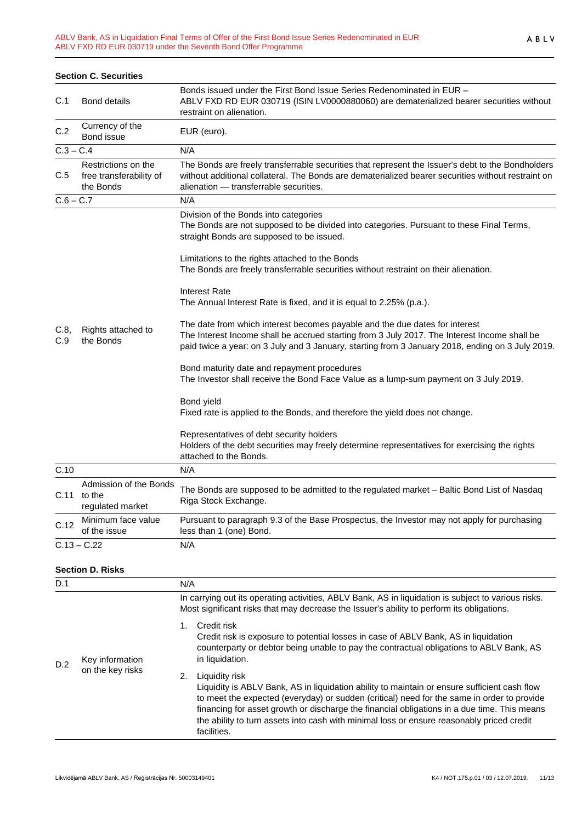|             | <b>Section C. Securities</b>                                |                                                                                                                                                                                                                                                                                 |
|-------------|-------------------------------------------------------------|---------------------------------------------------------------------------------------------------------------------------------------------------------------------------------------------------------------------------------------------------------------------------------|
| C.1         | <b>Bond details</b>                                         | Bonds issued under the First Bond Issue Series Redenominated in EUR -<br>ABLV FXD RD EUR 030719 (ISIN LV0000880060) are dematerialized bearer securities without<br>restraint on alienation.                                                                                    |
| C.2         | Currency of the<br>Bond issue                               | EUR (euro).                                                                                                                                                                                                                                                                     |
| $C.3 - C.4$ |                                                             | N/A                                                                                                                                                                                                                                                                             |
| C.5         | Restrictions on the<br>free transferability of<br>the Bonds | The Bonds are freely transferrable securities that represent the Issuer's debt to the Bondholders<br>without additional collateral. The Bonds are dematerialized bearer securities without restraint on<br>alienation - transferrable securities.                               |
| $C.6 - C.7$ |                                                             | N/A                                                                                                                                                                                                                                                                             |
|             |                                                             | Division of the Bonds into categories<br>The Bonds are not supposed to be divided into categories. Pursuant to these Final Terms,<br>straight Bonds are supposed to be issued.                                                                                                  |
|             |                                                             | Limitations to the rights attached to the Bonds<br>The Bonds are freely transferrable securities without restraint on their alienation.                                                                                                                                         |
|             |                                                             | <b>Interest Rate</b><br>The Annual Interest Rate is fixed, and it is equal to 2.25% (p.a.).                                                                                                                                                                                     |
| C.8,<br>C.9 | Rights attached to<br>the Bonds                             | The date from which interest becomes payable and the due dates for interest<br>The Interest Income shall be accrued starting from 3 July 2017. The Interest Income shall be<br>paid twice a year: on 3 July and 3 January, starting from 3 January 2018, ending on 3 July 2019. |
|             |                                                             | Bond maturity date and repayment procedures<br>The Investor shall receive the Bond Face Value as a lump-sum payment on 3 July 2019.                                                                                                                                             |
|             |                                                             | Bond yield<br>Fixed rate is applied to the Bonds, and therefore the yield does not change.                                                                                                                                                                                      |
|             |                                                             | Representatives of debt security holders<br>Holders of the debt securities may freely determine representatives for exercising the rights<br>attached to the Bonds.                                                                                                             |
| C.10        |                                                             | N/A                                                                                                                                                                                                                                                                             |
| C.11        | Admission of the Bonds<br>to the<br>regulated market        | The Bonds are supposed to be admitted to the regulated market - Baltic Bond List of Nasdaq<br>Riga Stock Exchange.                                                                                                                                                              |
| C.12        | Minimum face value<br>of the issue                          | Pursuant to paragraph 9.3 of the Base Prospectus, the Investor may not apply for purchasing<br>less than 1 (one) Bond.                                                                                                                                                          |
|             | $C.13 - C.22$                                               | N/A                                                                                                                                                                                                                                                                             |

#### **Section D. Risks**

| D.1 |                                     | N/A                                                                                                                                                                                                                                                                                                                                                                                                                           |
|-----|-------------------------------------|-------------------------------------------------------------------------------------------------------------------------------------------------------------------------------------------------------------------------------------------------------------------------------------------------------------------------------------------------------------------------------------------------------------------------------|
|     |                                     | In carrying out its operating activities, ABLV Bank, AS in liquidation is subject to various risks.<br>Most significant risks that may decrease the Issuer's ability to perform its obligations.                                                                                                                                                                                                                              |
| D.2 | Key information<br>on the key risks | Credit risk<br>Credit risk is exposure to potential losses in case of ABLV Bank, AS in liquidation<br>counterparty or debtor being unable to pay the contractual obligations to ABLV Bank, AS<br>in liquidation.                                                                                                                                                                                                              |
|     |                                     | Liquidity risk<br>2.<br>Liquidity is ABLV Bank, AS in liquidation ability to maintain or ensure sufficient cash flow<br>to meet the expected (everyday) or sudden (critical) need for the same in order to provide<br>financing for asset growth or discharge the financial obligations in a due time. This means<br>the ability to turn assets into cash with minimal loss or ensure reasonably priced credit<br>facilities. |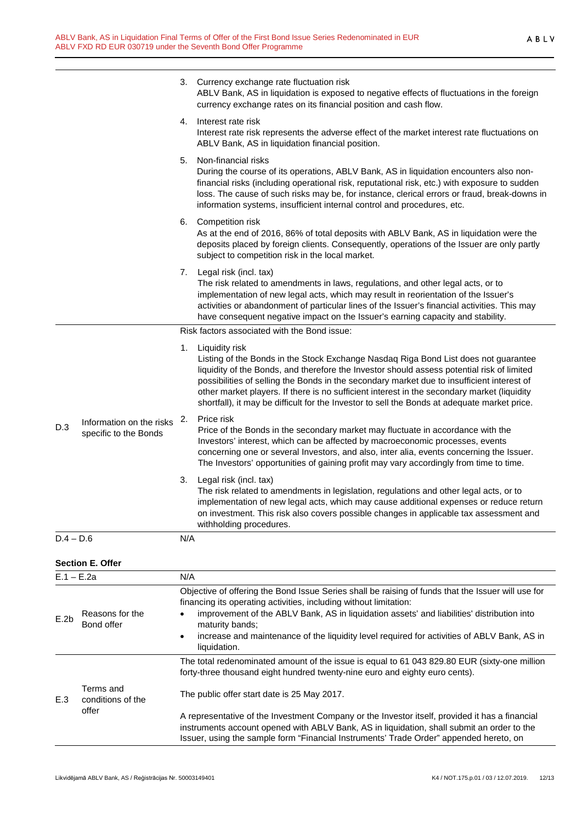|              |                                                   |                                                                                                                                                                                                                                                                                          | 3. Currency exchange rate fluctuation risk<br>ABLV Bank, AS in liquidation is exposed to negative effects of fluctuations in the foreign<br>currency exchange rates on its financial position and cash flow.                                                                                                                                                                                                                                                                                     |
|--------------|---------------------------------------------------|------------------------------------------------------------------------------------------------------------------------------------------------------------------------------------------------------------------------------------------------------------------------------------------|--------------------------------------------------------------------------------------------------------------------------------------------------------------------------------------------------------------------------------------------------------------------------------------------------------------------------------------------------------------------------------------------------------------------------------------------------------------------------------------------------|
|              |                                                   | 4.                                                                                                                                                                                                                                                                                       | Interest rate risk<br>Interest rate risk represents the adverse effect of the market interest rate fluctuations on<br>ABLV Bank, AS in liquidation financial position.                                                                                                                                                                                                                                                                                                                           |
|              |                                                   |                                                                                                                                                                                                                                                                                          | 5. Non-financial risks<br>During the course of its operations, ABLV Bank, AS in liquidation encounters also non-<br>financial risks (including operational risk, reputational risk, etc.) with exposure to sudden<br>loss. The cause of such risks may be, for instance, clerical errors or fraud, break-downs in<br>information systems, insufficient internal control and procedures, etc.                                                                                                     |
|              |                                                   |                                                                                                                                                                                                                                                                                          | 6. Competition risk<br>As at the end of 2016, 86% of total deposits with ABLV Bank, AS in liquidation were the<br>deposits placed by foreign clients. Consequently, operations of the Issuer are only partly<br>subject to competition risk in the local market.                                                                                                                                                                                                                                 |
|              |                                                   |                                                                                                                                                                                                                                                                                          | 7. Legal risk (incl. tax)<br>The risk related to amendments in laws, regulations, and other legal acts, or to<br>implementation of new legal acts, which may result in reorientation of the Issuer's<br>activities or abandonment of particular lines of the Issuer's financial activities. This may<br>have consequent negative impact on the Issuer's earning capacity and stability.                                                                                                          |
|              |                                                   |                                                                                                                                                                                                                                                                                          | Risk factors associated with the Bond issue:                                                                                                                                                                                                                                                                                                                                                                                                                                                     |
|              |                                                   | 1.                                                                                                                                                                                                                                                                                       | Liquidity risk<br>Listing of the Bonds in the Stock Exchange Nasdaq Riga Bond List does not guarantee<br>liquidity of the Bonds, and therefore the Investor should assess potential risk of limited<br>possibilities of selling the Bonds in the secondary market due to insufficient interest of<br>other market players. If there is no sufficient interest in the secondary market (liquidity<br>shortfall), it may be difficult for the Investor to sell the Bonds at adequate market price. |
| D.3          | Information on the risks<br>specific to the Bonds | 2.                                                                                                                                                                                                                                                                                       | Price risk<br>Price of the Bonds in the secondary market may fluctuate in accordance with the<br>Investors' interest, which can be affected by macroeconomic processes, events<br>concerning one or several Investors, and also, inter alia, events concerning the Issuer.<br>The Investors' opportunities of gaining profit may vary accordingly from time to time.                                                                                                                             |
|              |                                                   | 3.                                                                                                                                                                                                                                                                                       | Legal risk (incl. tax)<br>The risk related to amendments in legislation, regulations and other legal acts, or to<br>implementation of new legal acts, which may cause additional expenses or reduce return<br>on investment. This risk also covers possible changes in applicable tax assessment and<br>withholding procedures.                                                                                                                                                                  |
| $D.4 - D.6$  |                                                   | N/A                                                                                                                                                                                                                                                                                      |                                                                                                                                                                                                                                                                                                                                                                                                                                                                                                  |
|              | <b>Section E. Offer</b>                           |                                                                                                                                                                                                                                                                                          |                                                                                                                                                                                                                                                                                                                                                                                                                                                                                                  |
| $E.1 - E.2a$ |                                                   | N/A                                                                                                                                                                                                                                                                                      |                                                                                                                                                                                                                                                                                                                                                                                                                                                                                                  |
| E.2b         | Reasons for the<br>Bond offer                     | Objective of offering the Bond Issue Series shall be raising of funds that the Issuer will use for<br>financing its operating activities, including without limitation:<br>improvement of the ABLV Bank, AS in liquidation assets' and liabilities' distribution into<br>maturity bands; |                                                                                                                                                                                                                                                                                                                                                                                                                                                                                                  |
|              |                                                   |                                                                                                                                                                                                                                                                                          | increase and maintenance of the liquidity level required for activities of ABLV Bank, AS in<br>liquidation.                                                                                                                                                                                                                                                                                                                                                                                      |
|              |                                                   |                                                                                                                                                                                                                                                                                          | The total redenominated amount of the issue is equal to 61 043 829.80 EUR (sixty-one million<br>forty-three thousand eight hundred twenty-nine euro and eighty euro cents).                                                                                                                                                                                                                                                                                                                      |
| E.3          | Terms and<br>conditions of the                    |                                                                                                                                                                                                                                                                                          | The public offer start date is 25 May 2017.                                                                                                                                                                                                                                                                                                                                                                                                                                                      |
|              | offer                                             |                                                                                                                                                                                                                                                                                          |                                                                                                                                                                                                                                                                                                                                                                                                                                                                                                  |

A representative of the Investment Company or the Investor itself, provided it has a financial instruments account opened with ABLV Bank, AS in liquidation, shall submit an order to the Issuer, using the sample form "Financial Instruments' Trade Order" appended hereto, on